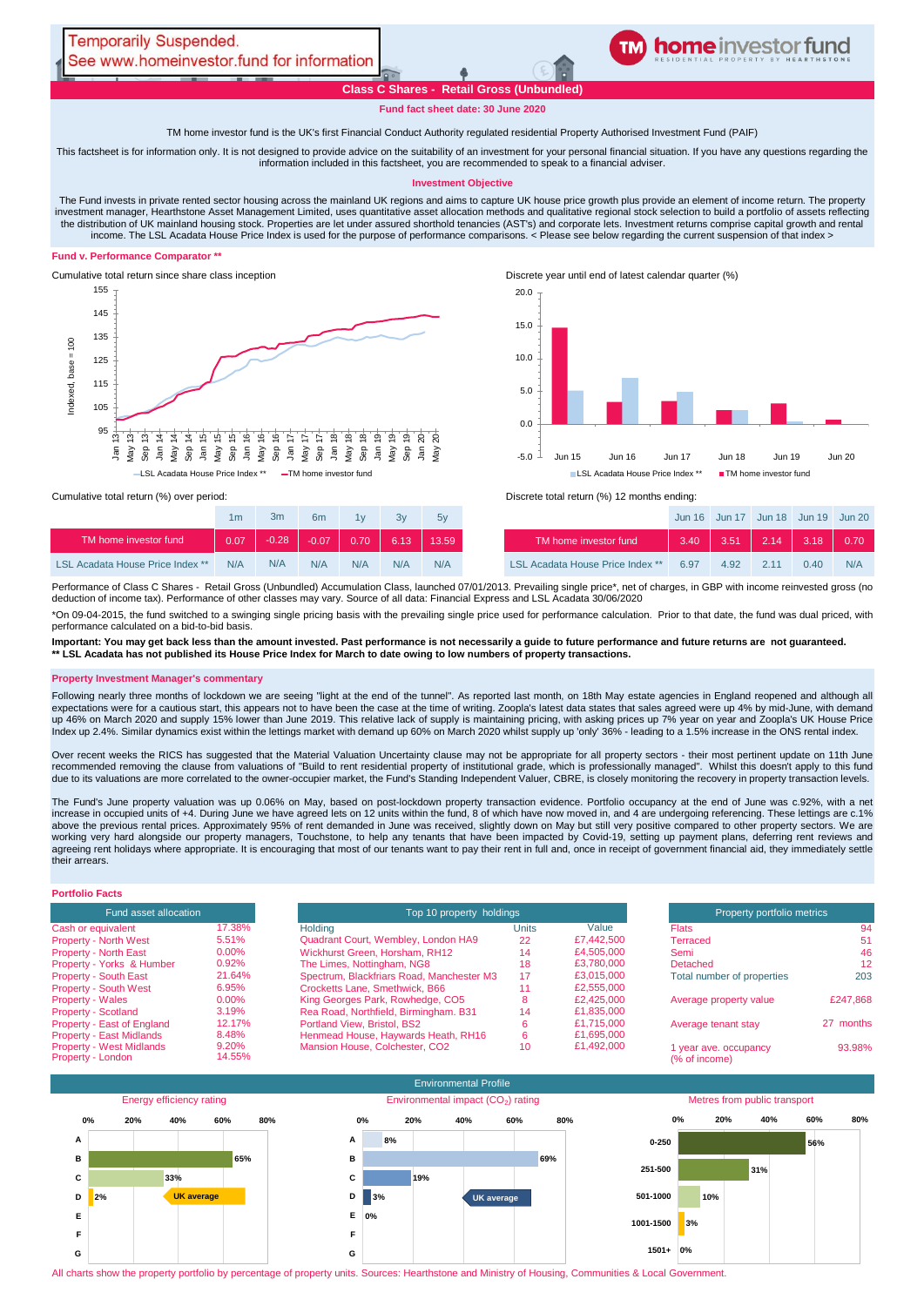# **home** investor fund

**Class C Shares - Retail Gross (Unbundled)**

**[TM](http://www.homeinvestor.fund/) home investor feeder fund**

# **Fund fact sheet date: 30 June 2020**

TM home investor fund is the UK's first Financial Conduct Authority regulated residential Property Authorised Investment Fund (PAIF)

This factsheet is for information only. It is not designed to provide advice on the suitability of an investment for your personal financial situation. If you have any questions regarding the information included in this factsheet, you are recommended to speak to a financial adviser.

## **Investment Objective**

The Fund invests in private rented sector housing across the mainland UK regions and aims to capture UK house price growth plus provide an element of income return. The property investment manager, Hearthstone Asset Management Limited, uses quantitative asset allocation methods and qualitative regional stock selection to build a portfolio of assets reflecting the distribution of UK mainland housing stock. Properties are let under assured shorthold tenancies (AST's) and corporate lets. Investment returns comprise capital growth and rental income. The LSL Acadata House Price Index is used for the purpose of performance comparisons. < Please see below regarding the current suspension of that index >

## **Fund v. Performance Comparator \*\***



Cumulative total return since share class inception Discrete year until end of latest calendar quarter (%)



|                                  | 1m   | 3 <sub>m</sub> | 6 <sub>m</sub> | 1v   | 3v   | 5v    |                                         |
|----------------------------------|------|----------------|----------------|------|------|-------|-----------------------------------------|
| TM home investor fund            | 0.07 | $-0.28$        | $-0.07$        | 0.70 | 6.13 | 13.59 | TM home investor fund                   |
| LSL Acadata House Price Index ** | N/A  | N/A            | N/A            | N/A  | N/A  | N/A   | <b>LSL Acadata House Price Index **</b> |

Cumulative total return (%) over period: <br>
Cumulative total return (%) 12 months ending:

| 1 <sub>m</sub> | 3m      | 6m      | 1v   | 3v  | 5v                       |                                         |      |               |      | Jun 16 Jun 17 Jun 18 Jun 19 Jun 20 |     |
|----------------|---------|---------|------|-----|--------------------------|-----------------------------------------|------|---------------|------|------------------------------------|-----|
| 0.07           | $-0.28$ | $-0.07$ | 0.70 |     | $\parallel$ 6.13   13.59 | TM home investor fund                   | 3.40 | $\sqrt{3.51}$ | 2.14 | $\parallel$ 3.18 $\parallel$ 0.70  |     |
| N/A            | N/A     | N/A     | N/A  | N/A | N/A                      | <b>LSL Acadata House Price Index **</b> | 6.97 | 4.92          |      | 0.40                               | N/A |

Performance of Class C Shares - Retail Gross (Unbundled) Accumulation Class, launched 07/01/2013. Prevailing single price\*, net of charges, in GBP with income reinvested gross (no deduction of income tax). Performance of other classes may vary. Source of all data: Financial Express and LSL Acadata 30/06/2020

\*On 09-04-2015, the fund switched to a swinging single pricing basis with the prevailing single price used for performance calculation. Prior to that date, the fund was dual priced, with performance calculated on a bid-to-bid basis.

**Important: You may get back less than the amount invested. Past performance is not necessarily a guide to future performance and future returns are not guaranteed. \*\* LSL Acadata has not published its House Price Index for March to date owing to low numbers of property transactions.** 

## **Property Investment Manager's commentary**

Following nearly three months of lockdown we are seeing "light at the end of the tunnel". As reported last month, on 18th May estate agencies in England reopened and although all expectations were for a cautious start, this appears not to have been the case at the time of writing. Zoopla's latest data states that sales agreed were up 4% by mid-June, with demand<br>up 46% on March 2020 and supply 15% l

Over recent weeks the RICS has suggested that the Material Valuation Uncertainty clause may not be appropriate for all property sectors - their most pertinent update on 11th June<br>recommended removing the clause from valuat due to its valuations are more correlated to the owner-occupier market, the Fund's Standing Independent Valuer, CBRE, is closely monitoring the recovery in property transaction levels.

The Fund's June property valuation was up 0.06% on May, based on post-lockdown property transaction evidence. Portfolio occupancy at the end of June was c.92%, with a net increase in occupied units of +4. During June we have agreed lets on 12 units within the fund, 8 of which have now moved in, and 4 are undergoing referencing. These lettings are c.1% above the previous rental prices. Approximately 95% of rent demanded in June was received, slightly down on May but still very positive compared to other property sectors. We are working very hard alongside our property managers, Touchstone, to help any tenants that have been impacted by Covid-19, setting up payment plans, deferring rent reviews and agreeing rent holidays where appropriate. It is encouraging that most of our tenants want to pay their rent in full and, once in receipt of government financial aid, they immediately settle their arrears.

# **Portfolio Facts**

| <b>Fund asset allocation</b>    |          |  |  |  |  |  |
|---------------------------------|----------|--|--|--|--|--|
| Cash or equivalent              | 17.38%   |  |  |  |  |  |
| <b>Property - North West</b>    | 5.51%    |  |  |  |  |  |
| <b>Property - North East</b>    | $0.00\%$ |  |  |  |  |  |
| Property - Yorks & Humber       | 0.92%    |  |  |  |  |  |
| <b>Property - South East</b>    | 21.64%   |  |  |  |  |  |
| <b>Property - South West</b>    | 6.95%    |  |  |  |  |  |
| <b>Property - Wales</b>         | 0.00%    |  |  |  |  |  |
| <b>Property - Scotland</b>      | 3.19%    |  |  |  |  |  |
| Property - East of England      | 12.17%   |  |  |  |  |  |
| <b>Property - East Midlands</b> | 8.48%    |  |  |  |  |  |
| <b>Property - West Midlands</b> | 9.20%    |  |  |  |  |  |
| Property - London               | 14.55%   |  |  |  |  |  |

| Fund asset allocation                                |                 | Top 10 property holdings                  | Property portfolio metrics |            |                                        |           |
|------------------------------------------------------|-----------------|-------------------------------------------|----------------------------|------------|----------------------------------------|-----------|
| Cash or equivalent                                   | 17.38%          | Holding                                   | Units                      | Value      | <b>Flats</b>                           | 94        |
| <b>Property - North West</b>                         | 5.51%           | Quadrant Court, Wembley, London HA9       | 22                         | £7,442,500 | Terraced                               | 51        |
| <b>Property - North East</b>                         | 0.00%           | Wickhurst Green, Horsham, RH12            | 14                         | £4,505,000 | Semi                                   | 46        |
| Property - Yorks & Humber                            | 0.92%           | The Limes, Nottingham, NG8                | 18                         | £3,780,000 | <b>Detached</b>                        | 12        |
| <b>Property - South East</b>                         | 21.64%          | Spectrum, Blackfriars Road, Manchester M3 | 17                         | £3.015.000 | Total number of properties             | 203       |
| <b>Property - South West</b>                         | 6.95%           | Crocketts Lane, Smethwick, B66            |                            | £2,555,000 |                                        |           |
| <b>Property - Wales</b>                              | 0.00%           | King Georges Park, Rowhedge, CO5          |                            | £2,425,000 | Average property value                 | £247,868  |
| <b>Property - Scotland</b>                           | 3.19%           | Rea Road, Northfield, Birmingham. B31     | 14                         | £1,835,000 |                                        |           |
| Property - East of England                           | 12.17%          | Portland View, Bristol, BS2               |                            | £1.715.000 | Average tenant stay                    | 27 months |
| <b>Property - East Midlands</b>                      | 8.48%           | Henmead House, Haywards Heath, RH16       |                            | £1,695,000 |                                        |           |
| <b>Property - West Midlands</b><br>Property - London | 9.20%<br>14.55% | Mansion House, Colchester, CO2            | 10                         | £1,492,000 | 1 year ave. occupancy<br>(% of income) | 93.98%    |



All charts show the property portfolio by percentage of property units. Sources: Hearthstone and Ministry of Housing, Communities & Local Government.